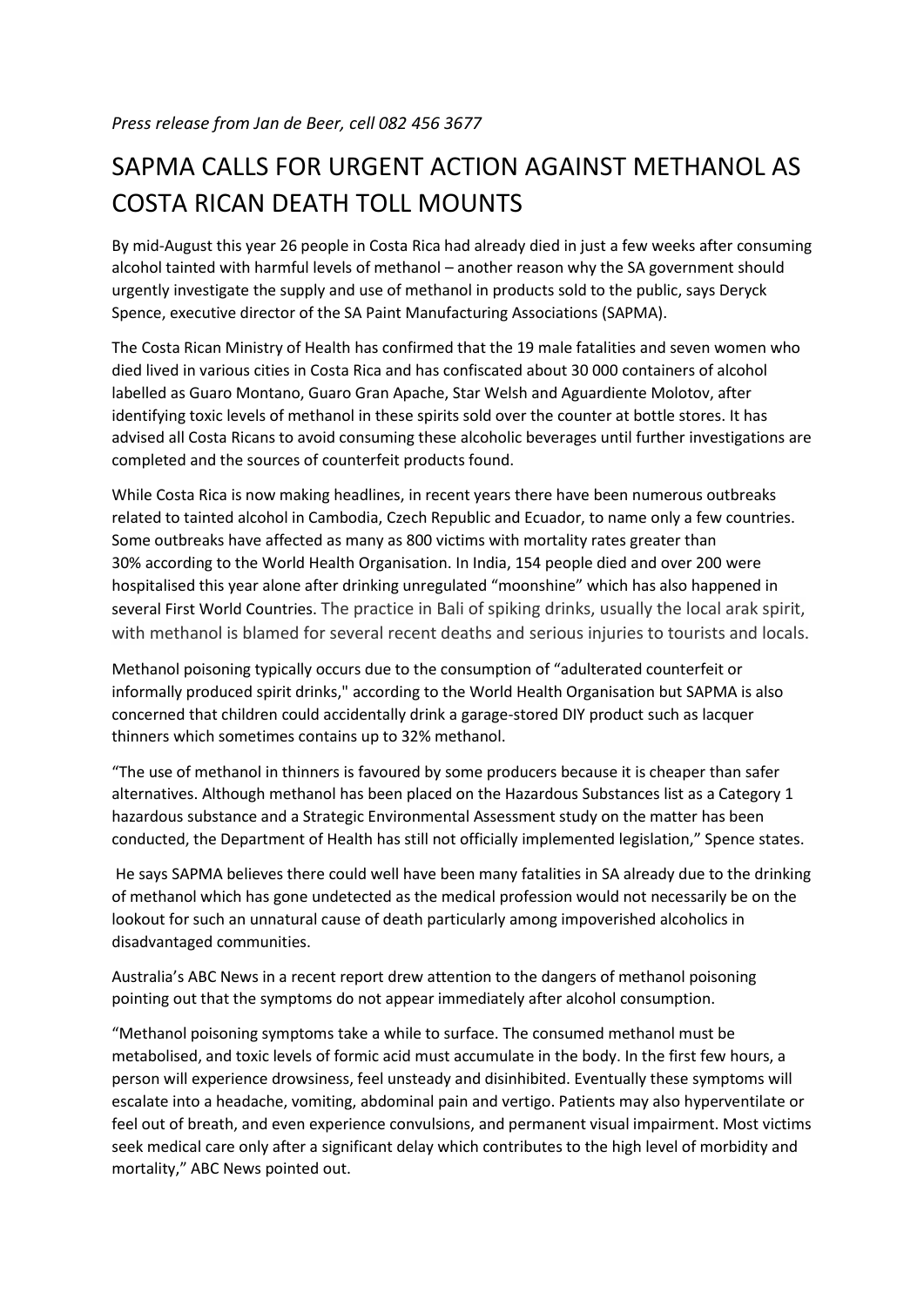## SAPMA CALLS FOR URGENT ACTION AGAINST METHANOL AS COSTA RICAN DEATH TOLL MOUNTS

By mid-August this year 26 people in Costa Rica had already died in just a few weeks after consuming alcohol tainted with harmful levels of methanol – another reason why the SA government should urgently investigate the supply and use of methanol in products sold to the public, says Deryck Spence, executive director of the SA Paint Manufacturing Associations (SAPMA).

The Costa Rican Ministry of Health has confirmed that the 19 male fatalities and seven women who died lived in various cities in Costa Rica and has confiscated about 30 000 containers of alcohol labelled as Guaro Montano, Guaro Gran Apache, Star Welsh and Aguardiente Molotov, after identifying toxic levels of methanol in these spirits sold over the counter at bottle stores. It has advised all Costa Ricans to avoid consuming these alcoholic beverages until further investigations are completed and the sources of counterfeit products found.

While Costa Rica is now making headlines, in recent years there have been numerous outbreaks related to tainted alcohol in Cambodia, Czech Republic and Ecuador, to name only a few countries. Some outbreaks have affected as many as 800 victims with mortality rates greater than 30% according to the World Health Organisation. In India, 154 people died and over 200 were hospitalised this year alone after drinking unregulated "moonshine" which has also happened in several First World Countries. The practice in Bali of spiking drinks, usually the local arak spirit, with methanol is blamed for several recent deaths and serious injuries to tourists and locals.

Methanol poisoning typically occurs due to the consumption of "adulterated counterfeit or informally produced spirit drinks," according to the World Health Organisation but SAPMA is also concerned that children could accidentally drink a garage-stored DIY product such as lacquer thinners which sometimes contains up to 32% methanol.

"The use of methanol in thinners is favoured by some producers because it is cheaper than safer alternatives. Although methanol has been placed on the Hazardous Substances list as a Category 1 hazardous substance and a Strategic Environmental Assessment study on the matter has been conducted, the Department of Health has still not officially implemented legislation," Spence states.

He says SAPMA believes there could well have been many fatalities in SA already due to the drinking of methanol which has gone undetected as the medical profession would not necessarily be on the lookout for such an unnatural cause of death particularly among impoverished alcoholics in disadvantaged communities.

Australia's ABC News in a recent report drew attention to the dangers of methanol poisoning pointing out that the symptoms do not appear immediately after alcohol consumption.

"Methanol poisoning symptoms take a while to surface. The consumed methanol must be metabolised, and toxic levels of formic acid must accumulate in the body. In the first few hours, a person will experience drowsiness, feel unsteady and disinhibited. Eventually these symptoms will escalate into a headache, vomiting, abdominal pain and vertigo. Patients may also hyperventilate or feel out of breath, and even experience convulsions, and permanent visual impairment. Most victims seek medical care only after a significant delay which contributes to the high level of morbidity and mortality," ABC News pointed out.